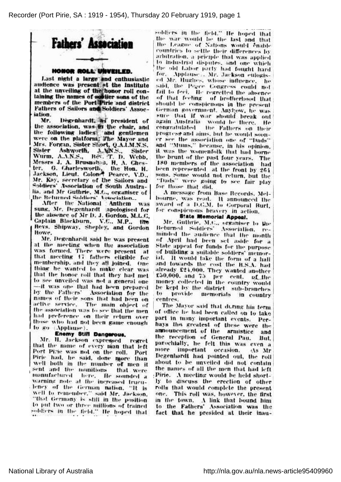Recorder (Port Pirie, SA : 1919 - 1954), Thursday 20 February 1919, page 1



## HONOR ROLL UNVEILED.

Last night a large and enthusiastic audience was present at the Institute at the unveiling of the honor roll containing the names of soldier sons of the members of the Port Pirie and district Fathers of Sailors and Soldiers' Assoc-■iation.

Mr. Degenhardt, as president of the association, was in the chair, and the following ladies- and gentleme were **on the platform. The Mayor an** Mrs. Forgan, Sister Short, Q.A.I.M.N.S. Sister Ashworth, A.AN.S., Sister Wurm, A.A.N.S., Rev. T. D. Webb, J. A. Brusnahan, H. A. Che fer. G. Cuariesworth; the Hon. H. Jackson, Lieut. Colone Pearce, V.D., Mr. Kay, secretary of the Sailors and Soldiers' Association of South Austr lia, and Mr Guthrie, M.C., organiser of<br>the Returned Soldiers' Association...

After the-National Anthem was sung, Mr. Degenhardt apologised for the absence of Mr D. J. Gordon, M.L.C, Captain Blackburn, V.C., M.P., the Revs. Shipway, Shepley, and Gordo Howe.

Mr. Degenhardt said he was present at the meeting when the association was formed. There were present at that meeting 17 fathers eligible for. membership, and they all joined. One thing he wanted to make clear was that the honor mil' thai Hiey had met to see unveiled was not a general one —it was one that had been prepared by the Fathers' Association for the names of their sons that had been on active service. The main object of the association was to see that the men. had preference on their return over those who had not been game enough to go (Applause).

## Enemy Still Dangerous. .

Mr. H. Jackson expressed regret that the name of every man: that left Port Pirie was not on the roll. Port Pirie had, he said, done more than well both in the number of: men it sent and the munitions fhat were 'manufactured here, fir sounded <sup>a</sup> warning note at the increased trucu-. lency of the German nation. "It is well to remember," said Mr. Jackson, "that Germany is still in the position to put two or three milliuhs of trained soldiers in the field." He hoped that

soldiers in the field." He hoped that the war would be lite last and that I the League of Nations would enabl countries to settle tlieir differences by arbitration, a priciple that was applied to industrial disputes, and one which the old Labor party had fought hard for. Applause), Mr. Jackson eulogised Mr. Hughes, whose influence, he said, the Peyee Congress could no fail to feci. He regretted the absence of that' feeling of brotherhood that should be conspicuous in. the present German government. AnyPow, he was sure that. if war should break out again Australia, would. be there. He congratulated the Fathers on their progress-and aims, lint he would soon er see the association one of "Dads" and "Mums," because, in his opinion, it was. the womenfolk that had borne the brunt of the past four years. Th 180 members of-the association had been represented at the front by 264 sons. Some would not return, but the "Dads" were going to see fair play for those that did.

<sup>A</sup> message from Base Records, Mel bourne, was read. It announced the award of <sup>a</sup> D.C.M. to Corporal Burt, for conspicuous bravery in action.

## State Memorial Appeal.

Mr. Guthrie, M.C., organiser to the Returned Soldiers' Association, reminded the audience that the month of April had been set aside for <sup>a</sup> State appeal for funds for the purpose of building <sup>a</sup> suitable soldiers' memor ial. It would take the form of <sup>a</sup> hall and fowards the cost the R.S.A. had already £24,000. They wanted another  $150,000$ , and  $75$  Rer cent. of the money collected in the country would be kept by the district sub-branch to provide memorials in countr centres.

The Mayor said that during his term of office he had been called on to take part in many important events. Per hays the greatest of these were the announcement of the armistice an the reception of General Pau. But, parochially, he felt this was even a more important occasion. (As Mr Degenhardt had pointed out, the roll about to be unveiled did not contain .the names of all the men that had left Pirie. A meeting would be held short ly to discuss the erection of other rolls that, would complete the present one. This roll was, however, the first in the town. A link that bound him to the Fathers' Association was the fact that he presided at their inau-